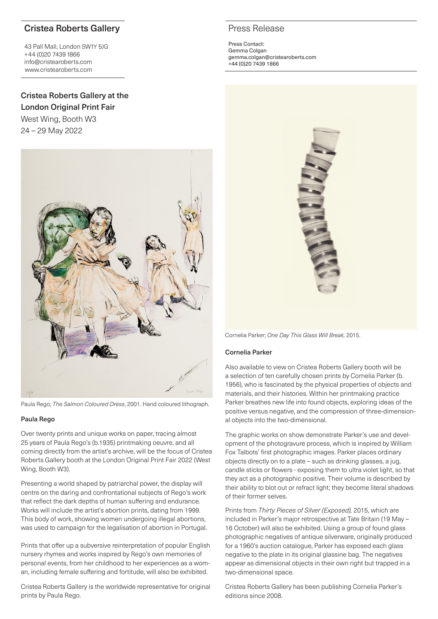# Cristea Roberts Gallery

43 Pall Mall, London SW1Y 5JG +44 (0)20 7439 1866 info@cristearoberts.com www.cristearoberts.com

# Cristea Roberts Gallery at the London Original Print Fair

West Wing, Booth W3 24 – 29 May 2022



Paula Rego; *The Salmon Coloured Dress*, 2001. Hand coloured lithograph.

### Paula Rego

Over twenty prints and unique works on paper, tracing almost 25 years of Paula Rego's (b.1935) printmaking oeuvre, and all coming directly from the artist's archive, will be the focus of Cristea Roberts Gallery booth at the London Original Print Fair 2022 (West Wing, Booth W3).

Presenting a world shaped by patriarchal power, the display will centre on the daring and confrontational subjects of Rego's work that reflect the dark depths of human suffering and endurance. Works will include the artist's abortion prints, dating from 1999. This body of work, showing women undergoing illegal abortions, was used to campaign for the legalisation of abortion in Portugal.

Prints that offer up a subversive reinterpretation of popular English nursery rhymes and works inspired by Rego's own memories of personal events, from her childhood to her experiences as a woman, including female suffering and fortitude, will also be exhibited.

Cristea Roberts Gallery is the worldwide representative for original prints by Paula Rego.

# Press Release

Press Contact: Gemma Colgan gemma.colgan@cristearoberts.com +44 (0)20 7439 1866



Cornelia Parker; *One Day This Glass Will Break,* 2015.

### Cornelia Parker

Also available to view on Cristea Roberts Gallery booth will be a selection of ten carefully chosen prints by Cornelia Parker (b. 1956), who is fascinated by the physical properties of objects and materials, and their histories. Within her printmaking practice Parker breathes new life into found objects, exploring ideas of the positive versus negative, and the compression of three-dimensional objects into the two-dimensional.

The graphic works on show demonstrate Parker's use and development of the photogravure process, which is inspired by William Fox Talbots' first photographic images. Parker places ordinary objects directly on to a plate – such as drinking glasses, a jug, candle sticks or flowers - exposing them to ultra violet light, so that they act as a photographic positive. Their volume is described by their ability to blot out or refract light; they become literal shadows of their former selves.

Prints from *Thirty Pieces of Silver (Exposed),* 2015, which are included in Parker's major retrospective at Tate Britain (19 May – 16 October) will also be exhibited. Using a group of found glass photographic negatives of antique silverware, originally produced for a 1960's auction catalogue, Parker has exposed each glass negative to the plate in its original glassine bag. The negatives appear as dimensional objects in their own right but trapped in a two-dimensional space.

Cristea Roberts Gallery has been publishing Cornelia Parker's editions since 2008.